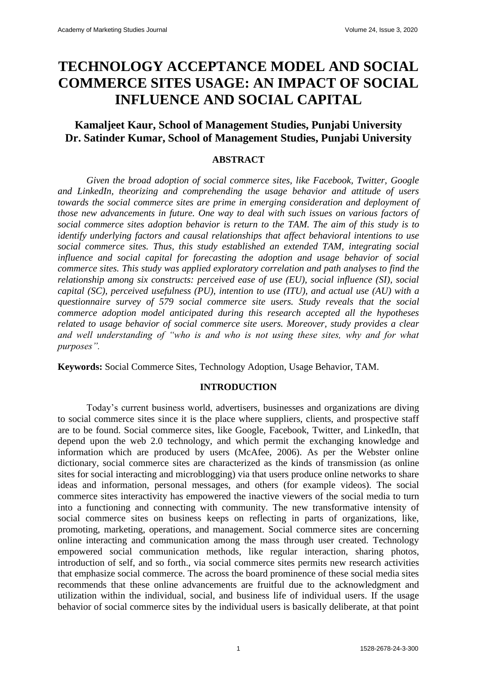# **TECHNOLOGY ACCEPTANCE MODEL AND SOCIAL COMMERCE SITES USAGE: AN IMPACT OF SOCIAL INFLUENCE AND SOCIAL CAPITAL**

## **Kamaljeet Kaur, School of Management Studies, Punjabi University Dr. Satinder Kumar, School of Management Studies, Punjabi University**

## **ABSTRACT**

*Given the broad adoption of social commerce sites, like Facebook, Twitter, Google and LinkedIn, theorizing and comprehending the usage behavior and attitude of users towards the social commerce sites are prime in emerging consideration and deployment of those new advancements in future. One way to deal with such issues on various factors of social commerce sites adoption behavior is return to the TAM. The aim of this study is to identify underlying factors and causal relationships that affect behavioral intentions to use social commerce sites. Thus, this study established an extended TAM, integrating social influence and social capital for forecasting the adoption and usage behavior of social commerce sites. This study was applied exploratory correlation and path analyses to find the relationship among six constructs: perceived ease of use (EU), social influence (SI), social capital (SC), perceived usefulness (PU), intention to use (ITU), and actual use (AU) with a questionnaire survey of 579 social commerce site users. Study reveals that the social commerce adoption model anticipated during this research accepted all the hypotheses related to usage behavior of social commerce site users. Moreover, study provides a clear and well understanding of "who is and who is not using these sites, why and for what purposes".*

**Keywords:** Social Commerce Sites, Technology Adoption, Usage Behavior, TAM.

#### **INTRODUCTION**

Today's current business world, advertisers, businesses and organizations are diving to social commerce sites since it is the place where suppliers, clients, and prospective staff are to be found. Social commerce sites, like Google, Facebook, Twitter, and LinkedIn, that depend upon the web 2.0 technology, and which permit the exchanging knowledge and information which are produced by users (McAfee, 2006). As per the Webster online dictionary, social commerce sites are characterized as the kinds of transmission (as online sites for social interacting and microblogging) via that users produce online networks to share ideas and information, personal messages, and others (for example videos). The social commerce sites interactivity has empowered the inactive viewers of the social media to turn into a functioning and connecting with community. The new transformative intensity of social commerce sites on business keeps on reflecting in parts of organizations, like, promoting, marketing, operations, and management. Social commerce sites are concerning online interacting and communication among the mass through user created. Technology empowered social communication methods, like regular interaction, sharing photos, introduction of self, and so forth., via social commerce sites permits new research activities that emphasize social commerce. The across the board prominence of these social media sites recommends that these online advancements are fruitful due to the acknowledgment and utilization within the individual, social, and business life of individual users. If the usage behavior of social commerce sites by the individual users is basically deliberate, at that point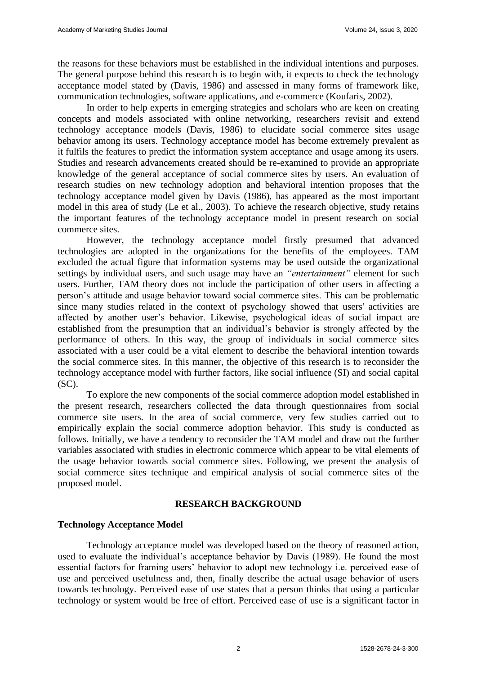the reasons for these behaviors must be established in the individual intentions and purposes. The general purpose behind this research is to begin with, it expects to check the technology acceptance model stated by (Davis, 1986) and assessed in many forms of framework like, communication technologies, software applications, and e-commerce (Koufaris, 2002).

In order to help experts in emerging strategies and scholars who are keen on creating concepts and models associated with online networking, researchers revisit and extend technology acceptance models (Davis, 1986) to elucidate social commerce sites usage behavior among its users. Technology acceptance model has become extremely prevalent as it fulfils the features to predict the information system acceptance and usage among its users. Studies and research advancements created should be re-examined to provide an appropriate knowledge of the general acceptance of social commerce sites by users. An evaluation of research studies on new technology adoption and behavioral intention proposes that the technology acceptance model given by Davis (1986), has appeared as the most important model in this area of study (Le et al., 2003). To achieve the research objective, study retains the important features of the technology acceptance model in present research on social commerce sites.

However, the technology acceptance model firstly presumed that advanced technologies are adopted in the organizations for the benefits of the employees. TAM excluded the actual figure that information systems may be used outside the organizational settings by individual users, and such usage may have an *"entertainment"* element for such users. Further, TAM theory does not include the participation of other users in affecting a person's attitude and usage behavior toward social commerce sites. This can be problematic since many studies related in the context of psychology showed that users' activities are affected by another user's behavior. Likewise, psychological ideas of social impact are established from the presumption that an individual's behavior is strongly affected by the performance of others. In this way, the group of individuals in social commerce sites associated with a user could be a vital element to describe the behavioral intention towards the social commerce sites. In this manner, the objective of this research is to reconsider the technology acceptance model with further factors, like social influence (SI) and social capital (SC).

To explore the new components of the social commerce adoption model established in the present research, researchers collected the data through questionnaires from social commerce site users. In the area of social commerce, very few studies carried out to empirically explain the social commerce adoption behavior. This study is conducted as follows. Initially, we have a tendency to reconsider the TAM model and draw out the further variables associated with studies in electronic commerce which appear to be vital elements of the usage behavior towards social commerce sites. Following, we present the analysis of social commerce sites technique and empirical analysis of social commerce sites of the proposed model.

## **RESEARCH BACKGROUND**

## **Technology Acceptance Model**

Technology acceptance model was developed based on the theory of reasoned action, used to evaluate the individual's acceptance behavior by Davis (1989). He found the most essential factors for framing users' behavior to adopt new technology i.e. perceived ease of use and perceived usefulness and, then, finally describe the actual usage behavior of users towards technology. Perceived ease of use states that a person thinks that using a particular technology or system would be free of effort. Perceived ease of use is a significant factor in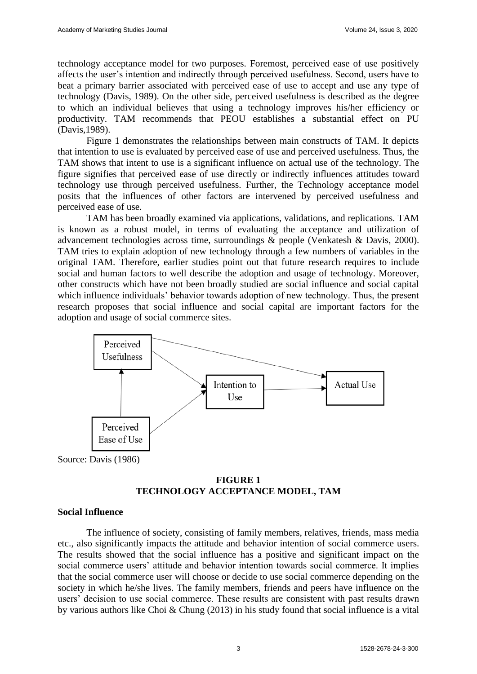technology acceptance model for two purposes. Foremost, perceived ease of use positively affects the user's intention and indirectly through perceived usefulness. Second, users have to beat a primary barrier associated with perceived ease of use to accept and use any type of technology (Davis, 1989). On the other side, perceived usefulness is described as the degree to which an individual believes that using a technology improves his/her efficiency or productivity. TAM recommends that PEOU establishes a substantial effect on PU (Davis,1989).

Figure 1 demonstrates the relationships between main constructs of TAM. It depicts that intention to use is evaluated by perceived ease of use and perceived usefulness. Thus, the TAM shows that intent to use is a significant influence on actual use of the technology. The figure signifies that perceived ease of use directly or indirectly influences attitudes toward technology use through perceived usefulness. Further, the Technology acceptance model posits that the influences of other factors are intervened by perceived usefulness and perceived ease of use.

TAM has been broadly examined via applications, validations, and replications. TAM is known as a robust model, in terms of evaluating the acceptance and utilization of advancement technologies across time, surroundings & people (Venkatesh & Davis, 2000). TAM tries to explain adoption of new technology through a few numbers of variables in the original TAM. Therefore, earlier studies point out that future research requires to include social and human factors to well describe the adoption and usage of technology. Moreover, other constructs which have not been broadly studied are social influence and social capital which influence individuals' behavior towards adoption of new technology. Thus, the present research proposes that social influence and social capital are important factors for the adoption and usage of social commerce sites.



## **FIGURE 1 TECHNOLOGY ACCEPTANCE MODEL, TAM**

#### **Social Influence**

The influence of society, consisting of family members, relatives, friends, mass media etc., also significantly impacts the attitude and behavior intention of social commerce users. The results showed that the social influence has a positive and significant impact on the social commerce users' attitude and behavior intention towards social commerce. It implies that the social commerce user will choose or decide to use social commerce depending on the society in which he/she lives. The family members, friends and peers have influence on the users' decision to use social commerce. These results are consistent with past results drawn by various authors like Choi & Chung (2013) in his study found that social influence is a vital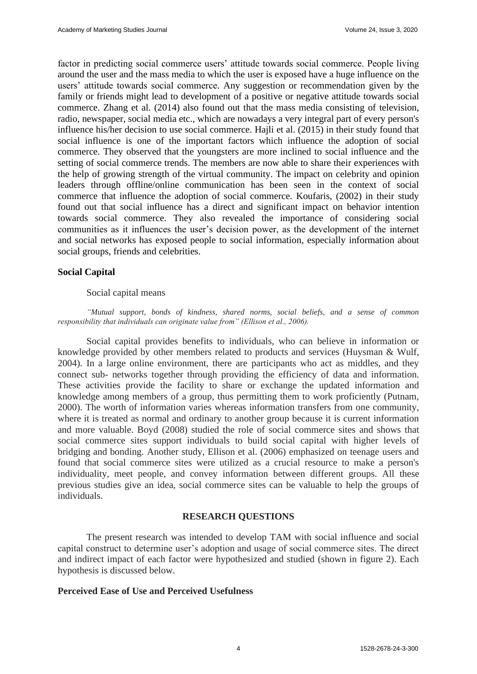factor in predicting social commerce users' attitude towards social commerce. People living around the user and the mass media to which the user is exposed have a huge influence on the users' attitude towards social commerce. Any suggestion or recommendation given by the family or friends might lead to development of a positive or negative attitude towards social commerce. Zhang et al. (2014) also found out that the mass media consisting of television, radio, newspaper, social media etc., which are nowadays a very integral part of every person's influence his/her decision to use social commerce. Haili et al. (2015) in their study found that social influence is one of the important factors which influence the adoption of social commerce. They observed that the youngsters are more inclined to social influence and the setting of social commerce trends. The members are now able to share their experiences with the help of growing strength of the virtual community. The impact on celebrity and opinion leaders through offline/online communication has been seen in the context of social commerce that influence the adoption of social commerce. Koufaris, (2002) in their study found out that social influence has a direct and significant impact on behavior intention towards social commerce. They also revealed the importance of considering social communities as it influences the user's decision power, as the development of the internet and social networks has exposed people to social information, especially information about social groups, friends and celebrities.

## **Social Capital**

## Social capital means

*"Mutual support, bonds of kindness, shared norms, social beliefs, and a sense of common responsibility that individuals can originate value from" (Ellison et al., 2006).* 

Social capital provides benefits to individuals, who can believe in information or knowledge provided by other members related to products and services (Huysman & Wulf, 2004). In a large online environment, there are participants who act as middles, and they connect sub- networks together through providing the efficiency of data and information. These activities provide the facility to share or exchange the updated information and knowledge among members of a group, thus permitting them to work proficiently (Putnam, 2000). The worth of information varies whereas information transfers from one community, where it is treated as normal and ordinary to another group because it is current information and more valuable. Boyd (2008) studied the role of social commerce sites and shows that social commerce sites support individuals to build social capital with higher levels of bridging and bonding. Another study, Ellison et al. (2006) emphasized on teenage users and found that social commerce sites were utilized as a crucial resource to make a person's individuality, meet people, and convey information between different groups. All these previous studies give an idea, social commerce sites can be valuable to help the groups of individuals.

## **RESEARCH QUESTIONS**

The present research was intended to develop TAM with social influence and social capital construct to determine user's adoption and usage of social commerce sites. The direct and indirect impact of each factor were hypothesized and studied (shown in figure 2). Each hypothesis is discussed below.

## **Perceived Ease of Use and Perceived Usefulness**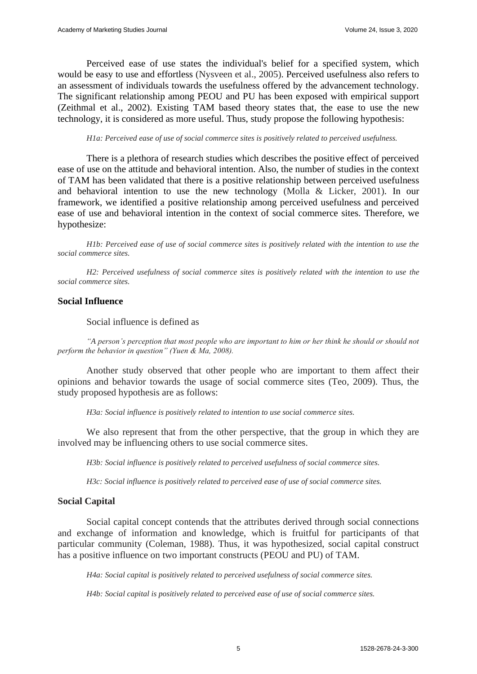Perceived ease of use states the individual's belief for a specified system, which would be easy to use and effortless (Nysveen et al., 2005). Perceived usefulness also refers to an assessment of individuals towards the usefulness offered by the advancement technology. The significant relationship among PEOU and PU has been exposed with empirical support (Zeithmal et al., 2002). Existing TAM based theory states that, the ease to use the new technology, it is considered as more useful. Thus, study propose the following hypothesis:

*H1a: Perceived ease of use of social commerce sites is positively related to perceived usefulness.*

There is a plethora of research studies which describes the positive effect of perceived ease of use on the attitude and behavioral intention. Also, the number of studies in the context of TAM has been validated that there is a positive relationship between perceived usefulness and behavioral intention to use the new technology (Molla & Licker, 2001). In our framework, we identified a positive relationship among perceived usefulness and perceived ease of use and behavioral intention in the context of social commerce sites. Therefore, we hypothesize:

*H1b: Perceived ease of use of social commerce sites is positively related with the intention to use the social commerce sites.*

*H2: Perceived usefulness of social commerce sites is positively related with the intention to use the social commerce sites.*

#### **Social Influence**

Social influence is defined as

*"A person's perception that most people who are important to him or her think he should or should not perform the behavior in question" (Yuen & Ma, 2008).* 

Another study observed that other people who are important to them affect their opinions and behavior towards the usage of social commerce sites (Teo, 2009). Thus, the study proposed hypothesis are as follows:

*H3a: Social influence is positively related to intention to use social commerce sites.*

We also represent that from the other perspective, that the group in which they are involved may be influencing others to use social commerce sites.

*H3b: Social influence is positively related to perceived usefulness of social commerce sites.*

*H3c: Social influence is positively related to perceived ease of use of social commerce sites.*

#### **Social Capital**

Social capital concept contends that the attributes derived through social connections and exchange of information and knowledge, which is fruitful for participants of that particular community (Coleman, 1988). Thus, it was hypothesized, social capital construct has a positive influence on two important constructs (PEOU and PU) of TAM.

*H4a: Social capital is positively related to perceived usefulness of social commerce sites.*

*H4b: Social capital is positively related to perceived ease of use of social commerce sites.*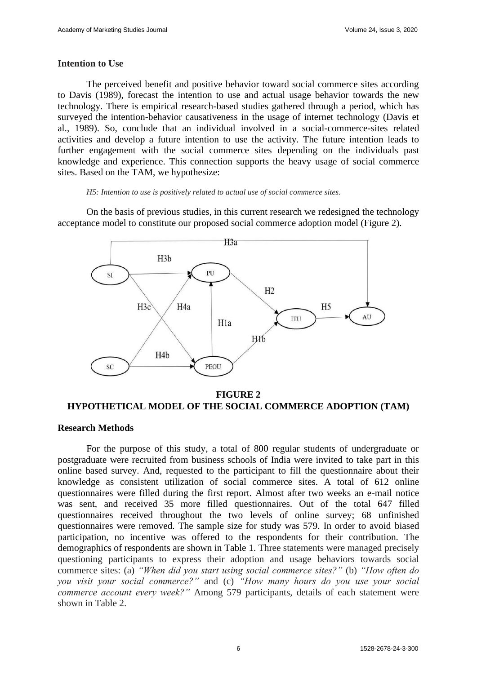#### **Intention to Use**

The perceived benefit and positive behavior toward social commerce sites according to Davis (1989), forecast the intention to use and actual usage behavior towards the new technology. There is empirical research-based studies gathered through a period, which has surveyed the intention-behavior causativeness in the usage of internet technology (Davis et al., 1989). So, conclude that an individual involved in a social-commerce-sites related activities and develop a future intention to use the activity. The future intention leads to further engagement with the social commerce sites depending on the individuals past knowledge and experience. This connection supports the heavy usage of social commerce sites. Based on the TAM, we hypothesize:

#### *H5: Intention to use is positively related to actual use of social commerce sites.*

On the basis of previous studies, in this current research we redesigned the technology acceptance model to constitute our proposed social commerce adoption model (Figure 2).



**FIGURE 2 HYPOTHETICAL MODEL OF THE SOCIAL COMMERCE ADOPTION (TAM)**

#### **Research Methods**

For the purpose of this study, a total of 800 regular students of undergraduate or postgraduate were recruited from business schools of India were invited to take part in this online based survey. And, requested to the participant to fill the questionnaire about their knowledge as consistent utilization of social commerce sites. A total of 612 online questionnaires were filled during the first report. Almost after two weeks an e-mail notice was sent, and received 35 more filled questionnaires. Out of the total 647 filled questionnaires received throughout the two levels of online survey; 68 unfinished questionnaires were removed. The sample size for study was 579. In order to avoid biased participation, no incentive was offered to the respondents for their contribution. The demographics of respondents are shown in Table 1. Three statements were managed precisely questioning participants to express their adoption and usage behaviors towards social commerce sites: (a) *"When did you start using social commerce sites?"* (b) *"How often do you visit your social commerce?"* and (c) *"How many hours do you use your social commerce account every week?"* Among 579 participants, details of each statement were shown in Table 2.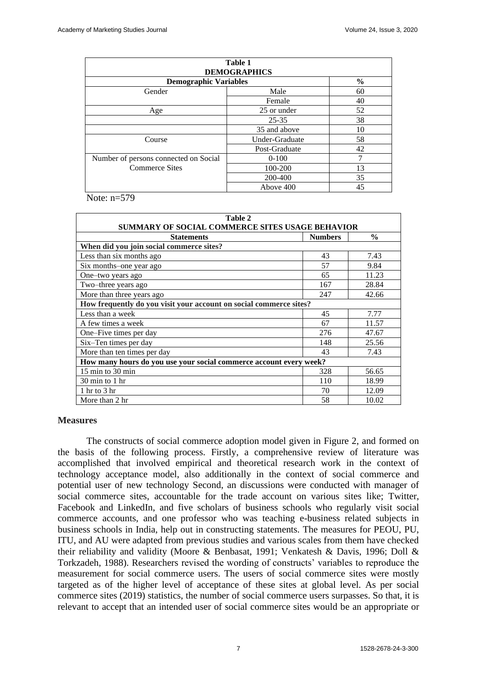| Table 1<br><b>DEMOGRAPHICS</b>        |                |               |  |  |  |  |  |
|---------------------------------------|----------------|---------------|--|--|--|--|--|
| <b>Demographic Variables</b>          |                | $\frac{6}{9}$ |  |  |  |  |  |
| Gender                                | Male           | 60            |  |  |  |  |  |
|                                       | Female         | 40            |  |  |  |  |  |
| Age                                   | 25 or under    | 52            |  |  |  |  |  |
|                                       | $25 - 35$      | 38            |  |  |  |  |  |
|                                       | 35 and above   | 10            |  |  |  |  |  |
| Course                                | Under-Graduate | 58            |  |  |  |  |  |
|                                       | Post-Graduate  | 42            |  |  |  |  |  |
| Number of persons connected on Social | $0 - 100$      |               |  |  |  |  |  |
| <b>Commerce Sites</b>                 | 100-200        | 13            |  |  |  |  |  |
|                                       | 200-400        | 35            |  |  |  |  |  |
|                                       | Above 400      | 45            |  |  |  |  |  |

Note:  $n=579$ 

| Table 2                                                                                                 |     |       |  |  |  |  |  |  |
|---------------------------------------------------------------------------------------------------------|-----|-------|--|--|--|--|--|--|
| SUMMARY OF SOCIAL COMMERCE SITES USAGE BEHAVIOR<br>$\frac{0}{0}$<br><b>Numbers</b><br><b>Statements</b> |     |       |  |  |  |  |  |  |
| When did you join social commerce sites?                                                                |     |       |  |  |  |  |  |  |
| Less than six months ago                                                                                | 43  | 7.43  |  |  |  |  |  |  |
| Six months-one year ago                                                                                 | 57  | 9.84  |  |  |  |  |  |  |
| One-two years ago                                                                                       | 65  | 11.23 |  |  |  |  |  |  |
| Two-three years ago                                                                                     | 167 | 28.84 |  |  |  |  |  |  |
| More than three years ago<br>247<br>42.66                                                               |     |       |  |  |  |  |  |  |
| How frequently do you visit your account on social commerce sites?                                      |     |       |  |  |  |  |  |  |
| Less than a week                                                                                        | 45  | 7.77  |  |  |  |  |  |  |
| A few times a week                                                                                      | 67  | 11.57 |  |  |  |  |  |  |
| One–Five times per day                                                                                  | 276 | 47.67 |  |  |  |  |  |  |
| Six-Ten times per day                                                                                   | 148 | 25.56 |  |  |  |  |  |  |
| More than ten times per day                                                                             | 43  | 7.43  |  |  |  |  |  |  |
| How many hours do you use your social commerce account every week?                                      |     |       |  |  |  |  |  |  |
| 15 min to 30 min                                                                                        | 328 | 56.65 |  |  |  |  |  |  |
| $30 \text{ min}$ to $1 \text{ hr}$                                                                      | 110 | 18.99 |  |  |  |  |  |  |
| $1$ hr to $3$ hr                                                                                        | 70  | 12.09 |  |  |  |  |  |  |
| More than 2 hr                                                                                          | 58  | 10.02 |  |  |  |  |  |  |

#### **Measures**

The constructs of social commerce adoption model given in Figure 2, and formed on the basis of the following process. Firstly, a comprehensive review of literature was accomplished that involved empirical and theoretical research work in the context of technology acceptance model, also additionally in the context of social commerce and potential user of new technology Second, an discussions were conducted with manager of social commerce sites, accountable for the trade account on various sites like; Twitter, Facebook and LinkedIn, and five scholars of business schools who regularly visit social commerce accounts, and one professor who was teaching e-business related subjects in business schools in India, help out in constructing statements. The measures for PEOU, PU, ITU, and AU were adapted from previous studies and various scales from them have checked their reliability and validity (Moore & Benbasat, 1991; Venkatesh & Davis, 1996; Doll & Torkzadeh, 1988). Researchers revised the wording of constructs' variables to reproduce the measurement for social commerce users. The users of social commerce sites were mostly targeted as of the higher level of acceptance of these sites at global level. As per social commerce sites (2019) statistics, the number of social commerce users surpasses. So that, it is relevant to accept that an intended user of social commerce sites would be an appropriate or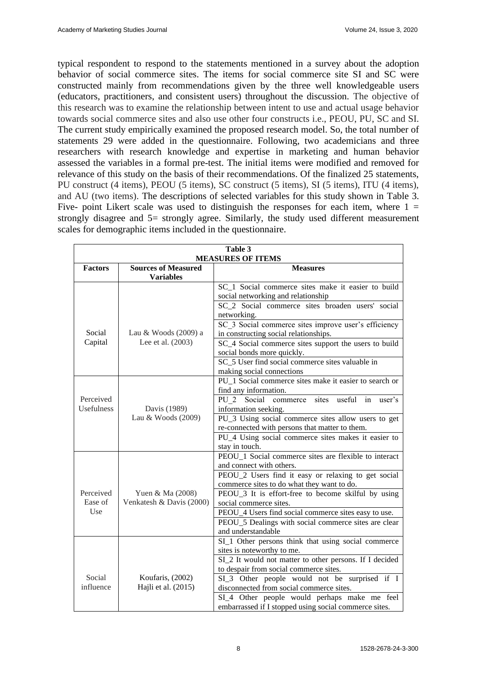typical respondent to respond to the statements mentioned in a survey about the adoption behavior of social commerce sites. The items for social commerce site SI and SC were constructed mainly from recommendations given by the three well knowledgeable users (educators, practitioners, and consistent users) throughout the discussion. The objective of this research was to examine the relationship between intent to use and actual usage behavior towards social commerce sites and also use other four constructs i.e., PEOU, PU, SC and SI. The current study empirically examined the proposed research model. So, the total number of statements 29 were added in the questionnaire. Following, two academicians and three researchers with research knowledge and expertise in marketing and human behavior assessed the variables in a formal pre-test. The initial items were modified and removed for relevance of this study on the basis of their recommendations. Of the finalized 25 statements, PU construct (4 items), PEOU (5 items), SC construct (5 items), SI (5 items), ITU (4 items), and AU (two items). The descriptions of selected variables for this study shown in Table 3. Five- point Likert scale was used to distinguish the responses for each item, where  $1 =$ strongly disagree and 5= strongly agree. Similarly, the study used different measurement scales for demographic items included in the questionnaire.

| Table 3        |                                                |                                                                                                       |  |  |  |
|----------------|------------------------------------------------|-------------------------------------------------------------------------------------------------------|--|--|--|
|                |                                                | <b>MEASURES OF ITEMS</b>                                                                              |  |  |  |
| <b>Factors</b> | <b>Sources of Measured</b><br><b>Variables</b> | <b>Measures</b>                                                                                       |  |  |  |
|                |                                                | SC 1 Social commerce sites make it easier to build                                                    |  |  |  |
|                |                                                | social networking and relationship                                                                    |  |  |  |
|                |                                                | SC_2 Social commerce sites broaden users' social                                                      |  |  |  |
|                |                                                | networking.                                                                                           |  |  |  |
|                |                                                | SC 3 Social commerce sites improve user's efficiency                                                  |  |  |  |
| Social         | Lau & Woods (2009) a                           | in constructing social relationships.                                                                 |  |  |  |
| Capital        | Lee et al. (2003)                              | SC_4 Social commerce sites support the users to build                                                 |  |  |  |
|                |                                                | social bonds more quickly.                                                                            |  |  |  |
|                |                                                | SC_5 User find social commerce sites valuable in                                                      |  |  |  |
|                |                                                | making social connections                                                                             |  |  |  |
|                |                                                | PU_1 Social commerce sites make it easier to search or                                                |  |  |  |
|                |                                                | find any information.                                                                                 |  |  |  |
| Perceived      |                                                | PU 2 Social<br>sites<br>useful<br>commerce<br>in<br>user's                                            |  |  |  |
| Usefulness     | Davis (1989)<br>Lau & Woods (2009)             | information seeking.                                                                                  |  |  |  |
|                |                                                | $\overline{PU_3}$ Using social commerce sites allow users to get                                      |  |  |  |
|                |                                                | re-connected with persons that matter to them.<br>PU_4 Using social commerce sites makes it easier to |  |  |  |
|                |                                                | stay in touch.                                                                                        |  |  |  |
|                |                                                | PEOU_1 Social commerce sites are flexible to interact                                                 |  |  |  |
|                |                                                | and connect with others.                                                                              |  |  |  |
|                |                                                | PEOU_2 Users find it easy or relaxing to get social                                                   |  |  |  |
|                |                                                | commerce sites to do what they want to do.                                                            |  |  |  |
| Perceived      | Yuen & Ma (2008)                               | PEOU_3 It is effort-free to become skilful by using                                                   |  |  |  |
| Ease of        | Venkatesh & Davis (2000)                       | social commerce sites.                                                                                |  |  |  |
| Use            |                                                | PEOU_4 Users find social commerce sites easy to use.                                                  |  |  |  |
|                |                                                | PEOU_5 Dealings with social commerce sites are clear                                                  |  |  |  |
|                |                                                | and understandable                                                                                    |  |  |  |
|                |                                                | SI <sub>1</sub> Other persons think that using social commerce                                        |  |  |  |
|                |                                                | sites is noteworthy to me.                                                                            |  |  |  |
|                |                                                | SI_2 It would not matter to other persons. If I decided                                               |  |  |  |
| Social         |                                                | to despair from social commerce sites.                                                                |  |  |  |
| influence      | Koufaris, (2002)<br>Hajli et al. (2015)        | SI_3 Other people would not be surprised if I<br>disconnected from social commerce sites.             |  |  |  |
|                |                                                |                                                                                                       |  |  |  |
|                |                                                | SI_4 Other people would perhaps make me feel<br>embarrassed if I stopped using social commerce sites. |  |  |  |
|                |                                                |                                                                                                       |  |  |  |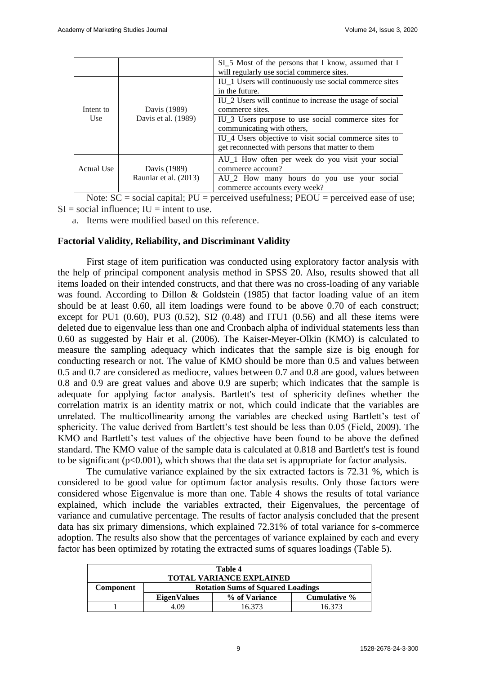|                       |                     | SI_5 Most of the persons that I know, assumed that I<br>will regularly use social commerce sites.                      |
|-----------------------|---------------------|------------------------------------------------------------------------------------------------------------------------|
|                       |                     | IU_1 Users will continuously use social commerce sites<br>in the future.                                               |
| Intent to             | Davis (1989)        | IU_2 Users will continue to increase the usage of social<br>commerce sites.                                            |
| Use                   | Davis et al. (1989) | IU_3 Users purpose to use social commerce sites for<br>communicating with others,                                      |
|                       |                     | IU <sub>_4</sub> Users objective to visit social commerce sites to<br>get reconnected with persons that matter to them |
| Actual Use            | Davis (1989)        | AU_1 How often per week do you visit your social<br>commerce account?                                                  |
| Rauniar et al. (2013) |                     | AU_2 How many hours do you use your social<br>commerce accounts every week?                                            |

Note:  $SC = social capital$ ;  $PU = perceived$  usefulness;  $PEOU = perceived$  ease of use;  $SI = social influence$ :  $IU = intent to use$ .

a. Items were modified based on this reference.

## **Factorial Validity, Reliability, and Discriminant Validity**

First stage of item purification was conducted using exploratory factor analysis with the help of principal component analysis method in SPSS 20. Also, results showed that all items loaded on their intended constructs, and that there was no cross-loading of any variable was found. According to Dillon & Goldstein (1985) that factor loading value of an item should be at least 0.60, all item loadings were found to be above 0.70 of each construct; except for PU1  $(0.60)$ , PU3  $(0.52)$ , SI2  $(0.48)$  and ITU1  $(0.56)$  and all these items were deleted due to eigenvalue less than one and Cronbach alpha of individual statements less than 0.60 as suggested by Hair et al. (2006). The Kaiser-Meyer-Olkin (KMO) is calculated to measure the sampling adequacy which indicates that the sample size is big enough for conducting research or not. The value of KMO should be more than 0.5 and values between 0.5 and 0.7 are considered as mediocre, values between 0.7 and 0.8 are good, values between 0.8 and 0.9 are great values and above 0.9 are superb; which indicates that the sample is adequate for applying factor analysis. Bartlett's test of sphericity defines whether the correlation matrix is an identity matrix or not, which could indicate that the variables are unrelated. The multicollinearity among the variables are checked using Bartlett's test of sphericity. The value derived from Bartlett's test should be less than 0.05 (Field, 2009). The KMO and Bartlett's test values of the objective have been found to be above the defined standard. The KMO value of the sample data is calculated at 0.818 and Bartlett's test is found to be significant (p<0.001), which shows that the data set is appropriate for factor analysis.

The cumulative variance explained by the six extracted factors is 72.31 %, which is considered to be good value for optimum factor analysis results. Only those factors were considered whose Eigenvalue is more than one. Table 4 shows the results of total variance explained, which include the variables extracted, their Eigenvalues, the percentage of variance and cumulative percentage. The results of factor analysis concluded that the present data has six primary dimensions, which explained 72.31% of total variance for s-commerce adoption. The results also show that the percentages of variance explained by each and every factor has been optimized by rotating the extracted sums of squares loadings (Table 5).

| Table 4<br><b>TOTAL VARIANCE EXPLAINED</b> |                                                     |                                          |        |  |  |  |  |
|--------------------------------------------|-----------------------------------------------------|------------------------------------------|--------|--|--|--|--|
| Component                                  |                                                     | <b>Rotation Sums of Squared Loadings</b> |        |  |  |  |  |
|                                            | Cumulative %<br>% of Variance<br><b>EigenValues</b> |                                          |        |  |  |  |  |
|                                            | 4 O9                                                | 16.373                                   | 16.373 |  |  |  |  |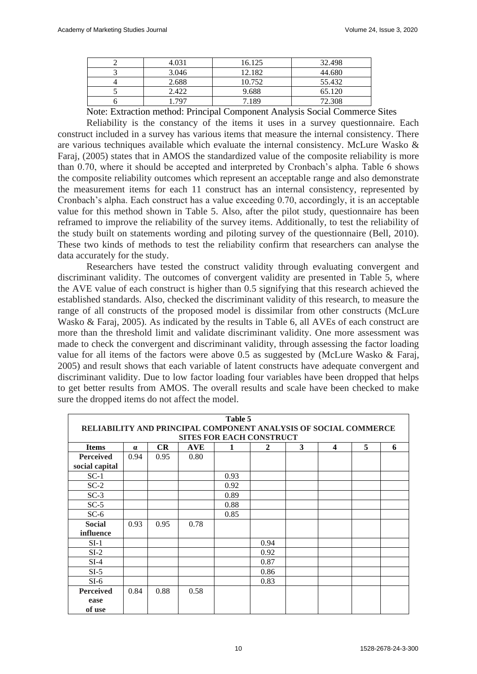| 4.031 | 16.125 | 32.498 |
|-------|--------|--------|
| 3.046 | 12.182 | 44.680 |
| 2.688 | 10.752 | 55.432 |
| 2.422 | 9.688  | 65.120 |
| 797   | 7.189  | 72.308 |

Note: Extraction method: Principal Component Analysis Social Commerce Sites

Reliability is the constancy of the items it uses in a survey questionnaire. Each construct included in a survey has various items that measure the internal consistency. There are various techniques available which evaluate the internal consistency. McLure Wasko & Faraj, (2005) states that in AMOS the standardized value of the composite reliability is more than 0.70, where it should be accepted and interpreted by Cronbach's alpha. Table 6 shows the composite reliability outcomes which represent an acceptable range and also demonstrate the measurement items for each 11 construct has an internal consistency, represented by Cronbach's alpha. Each construct has a value exceeding 0.70, accordingly, it is an acceptable value for this method shown in Table 5. Also, after the pilot study, questionnaire has been reframed to improve the reliability of the survey items. Additionally, to test the reliability of the study built on statements wording and piloting survey of the questionnaire (Bell, 2010). These two kinds of methods to test the reliability confirm that researchers can analyse the data accurately for the study.

Researchers have tested the construct validity through evaluating convergent and discriminant validity. The outcomes of convergent validity are presented in Table 5, where the AVE value of each construct is higher than 0.5 signifying that this research achieved the established standards. Also, checked the discriminant validity of this research, to measure the range of all constructs of the proposed model is dissimilar from other constructs (McLure Wasko & Faraj, 2005). As indicated by the results in Table 6, all AVEs of each construct are more than the threshold limit and validate discriminant validity. One more assessment was made to check the convergent and discriminant validity, through assessing the factor loading value for all items of the factors were above 0.5 as suggested by (McLure Wasko & Faraj, 2005) and result shows that each variable of latent constructs have adequate convergent and discriminant validity. Due to low factor loading four variables have been dropped that helps to get better results from AMOS. The overall results and scale have been checked to make sure the dropped items do not affect the model.

|                  | Table 5                                                         |           |            |      |                                 |   |                  |   |   |
|------------------|-----------------------------------------------------------------|-----------|------------|------|---------------------------------|---|------------------|---|---|
|                  | RELIABILITY AND PRINCIPAL COMPONENT ANALYSIS OF SOCIAL COMMERCE |           |            |      |                                 |   |                  |   |   |
|                  |                                                                 |           |            |      | <b>SITES FOR EACH CONSTRUCT</b> |   |                  |   |   |
| <b>Items</b>     | $\alpha$                                                        | <b>CR</b> | <b>AVE</b> | 1    | $\mathbf{2}$                    | 3 | $\boldsymbol{4}$ | 5 | 6 |
| <b>Perceived</b> | 0.94                                                            | 0.95      | 0.80       |      |                                 |   |                  |   |   |
| social capital   |                                                                 |           |            |      |                                 |   |                  |   |   |
| $SC-1$           |                                                                 |           |            | 0.93 |                                 |   |                  |   |   |
| $SC-2$           |                                                                 |           |            | 0.92 |                                 |   |                  |   |   |
| $SC-3$           |                                                                 |           |            | 0.89 |                                 |   |                  |   |   |
| $SC-5$           |                                                                 |           |            | 0.88 |                                 |   |                  |   |   |
| $SC-6$           |                                                                 |           |            | 0.85 |                                 |   |                  |   |   |
| <b>Social</b>    | 0.93                                                            | 0.95      | 0.78       |      |                                 |   |                  |   |   |
| influence        |                                                                 |           |            |      |                                 |   |                  |   |   |
| $SI-1$           |                                                                 |           |            |      | 0.94                            |   |                  |   |   |
| $SI-2$           |                                                                 |           |            |      | 0.92                            |   |                  |   |   |
| $SI-4$           |                                                                 |           |            |      | 0.87                            |   |                  |   |   |
| $SI-5$           |                                                                 |           |            |      | 0.86                            |   |                  |   |   |
| $SI-6$           |                                                                 |           |            |      | 0.83                            |   |                  |   |   |
| <b>Perceived</b> | 0.84                                                            | 0.88      | 0.58       |      |                                 |   |                  |   |   |
| ease             |                                                                 |           |            |      |                                 |   |                  |   |   |
| of use           |                                                                 |           |            |      |                                 |   |                  |   |   |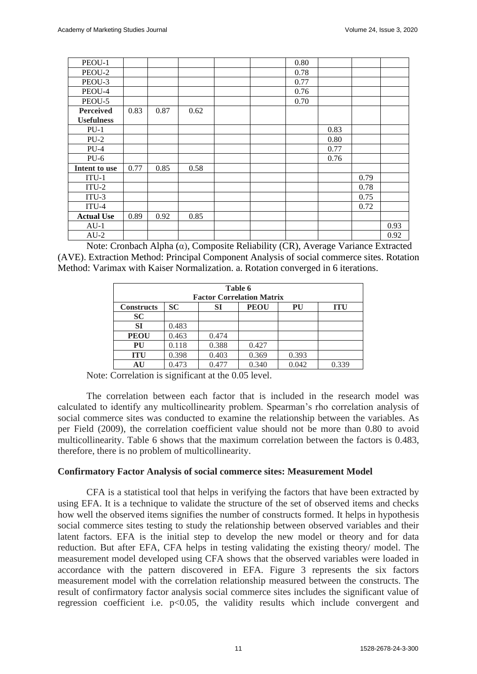| PEOU-1            |      |      |      |  | 0.80 |      |      |      |
|-------------------|------|------|------|--|------|------|------|------|
| PEOU-2            |      |      |      |  | 0.78 |      |      |      |
| PEOU-3            |      |      |      |  | 0.77 |      |      |      |
| PEOU-4            |      |      |      |  | 0.76 |      |      |      |
| PEOU-5            |      |      |      |  | 0.70 |      |      |      |
| <b>Perceived</b>  | 0.83 | 0.87 | 0.62 |  |      |      |      |      |
| <b>Usefulness</b> |      |      |      |  |      |      |      |      |
| $PU-1$            |      |      |      |  |      | 0.83 |      |      |
| $PU-2$            |      |      |      |  |      | 0.80 |      |      |
| $PU-4$            |      |      |      |  |      | 0.77 |      |      |
| $PU-6$            |      |      |      |  |      | 0.76 |      |      |
| Intent to use     | 0.77 | 0.85 | 0.58 |  |      |      |      |      |
| $ITU-1$           |      |      |      |  |      |      | 0.79 |      |
| $ITU-2$           |      |      |      |  |      |      | 0.78 |      |
| $ITU-3$           |      |      |      |  |      |      | 0.75 |      |
| $ITU-4$           |      |      |      |  |      |      | 0.72 |      |
| <b>Actual Use</b> | 0.89 | 0.92 | 0.85 |  |      |      |      |      |
| $AU-1$            |      |      |      |  |      |      |      | 0.93 |
| $AU-2$            |      |      |      |  |      |      |      | 0.92 |

Note: Cronbach Alpha (α), Composite Reliability (CR), Average Variance Extracted (AVE). Extraction Method: Principal Component Analysis of social commerce sites. Rotation Method: Varimax with Kaiser Normalization. a. Rotation converged in 6 iterations.

|                   | Table 6                                                   |                                  |       |       |       |  |  |  |  |
|-------------------|-----------------------------------------------------------|----------------------------------|-------|-------|-------|--|--|--|--|
|                   |                                                           | <b>Factor Correlation Matrix</b> |       |       |       |  |  |  |  |
| <b>Constructs</b> | <b>SC</b><br><b>PEOU</b><br><b>SI</b><br>PU<br><b>ITU</b> |                                  |       |       |       |  |  |  |  |
| <b>SC</b>         |                                                           |                                  |       |       |       |  |  |  |  |
| <b>SI</b>         | 0.483                                                     |                                  |       |       |       |  |  |  |  |
| <b>PEOU</b>       | 0.463                                                     | 0.474                            |       |       |       |  |  |  |  |
| PU                | 0.118                                                     | 0.388                            | 0.427 |       |       |  |  |  |  |
| <b>ITU</b>        | 0.398                                                     | 0.403                            | 0.369 | 0.393 |       |  |  |  |  |
| AU                | 0.473                                                     | 0.477                            | 0.340 | 0.042 | 0.339 |  |  |  |  |

Note: Correlation is significant at the 0.05 level.

The correlation between each factor that is included in the research model was calculated to identify any multicollinearity problem. Spearman's rho correlation analysis of social commerce sites was conducted to examine the relationship between the variables. As per Field (2009), the correlation coefficient value should not be more than 0.80 to avoid multicollinearity. Table 6 shows that the maximum correlation between the factors is 0.483, therefore, there is no problem of multicollinearity.

## **Confirmatory Factor Analysis of social commerce sites: Measurement Model**

CFA is a statistical tool that helps in verifying the factors that have been extracted by using EFA. It is a technique to validate the structure of the set of observed items and checks how well the observed items signifies the number of constructs formed. It helps in hypothesis social commerce sites testing to study the relationship between observed variables and their latent factors. EFA is the initial step to develop the new model or theory and for data reduction. But after EFA, CFA helps in testing validating the existing theory/ model. The measurement model developed using CFA shows that the observed variables were loaded in accordance with the pattern discovered in EFA. Figure 3 represents the six factors measurement model with the correlation relationship measured between the constructs. The result of confirmatory factor analysis social commerce sites includes the significant value of regression coefficient i.e.  $p<0.05$ , the validity results which include convergent and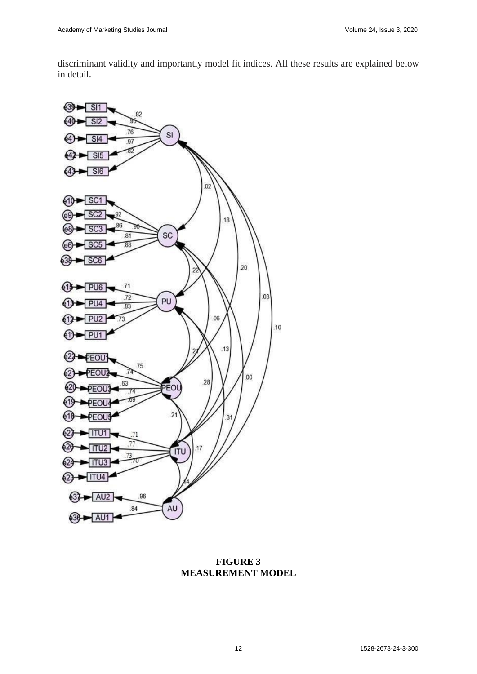discriminant validity and importantly model fit indices. All these results are explained below in detail.



**FIGURE 3 MEASUREMENT MODEL**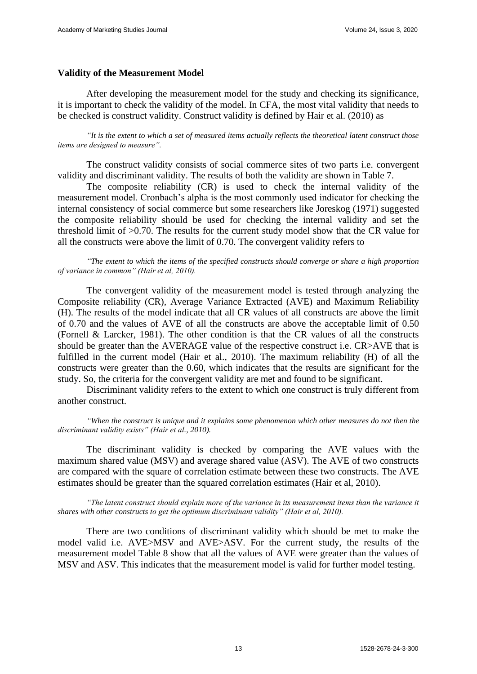## **Validity of the Measurement Model**

After developing the measurement model for the study and checking its significance, it is important to check the validity of the model. In CFA, the most vital validity that needs to be checked is construct validity. Construct validity is defined by Hair et al. (2010) as

*"It is the extent to which a set of measured items actually reflects the theoretical latent construct those items are designed to measure".* 

The construct validity consists of social commerce sites of two parts i.e. convergent validity and discriminant validity. The results of both the validity are shown in Table 7.

The composite reliability (CR) is used to check the internal validity of the measurement model. Cronbach's alpha is the most commonly used indicator for checking the internal consistency of social commerce but some researchers like Joreskog (1971) suggested the composite reliability should be used for checking the internal validity and set the threshold limit of >0.70. The results for the current study model show that the CR value for all the constructs were above the limit of 0.70. The convergent validity refers to

*"The extent to which the items of the specified constructs should converge or share a high proportion of variance in common" (Hair et al, 2010).* 

The convergent validity of the measurement model is tested through analyzing the Composite reliability (CR), Average Variance Extracted (AVE) and Maximum Reliability (H). The results of the model indicate that all CR values of all constructs are above the limit of 0.70 and the values of AVE of all the constructs are above the acceptable limit of 0.50 (Fornell & Larcker, 1981). The other condition is that the CR values of all the constructs should be greater than the AVERAGE value of the respective construct i.e. CR>AVE that is fulfilled in the current model (Hair et al., 2010). The maximum reliability (H) of all the constructs were greater than the 0.60, which indicates that the results are significant for the study. So, the criteria for the convergent validity are met and found to be significant.

Discriminant validity refers to the extent to which one construct is truly different from another construct.

*"When the construct is unique and it explains some phenomenon which other measures do not then the discriminant validity exists" (Hair et al., 2010).* 

The discriminant validity is checked by comparing the AVE values with the maximum shared value (MSV) and average shared value (ASV). The AVE of two constructs are compared with the square of correlation estimate between these two constructs. The AVE estimates should be greater than the squared correlation estimates (Hair et al, 2010).

*"The latent construct should explain more of the variance in its measurement items than the variance it shares with other constructs to get the optimum discriminant validity" (Hair et al, 2010).* 

There are two conditions of discriminant validity which should be met to make the model valid i.e. AVE>MSV and AVE>ASV. For the current study, the results of the measurement model Table 8 show that all the values of AVE were greater than the values of MSV and ASV. This indicates that the measurement model is valid for further model testing.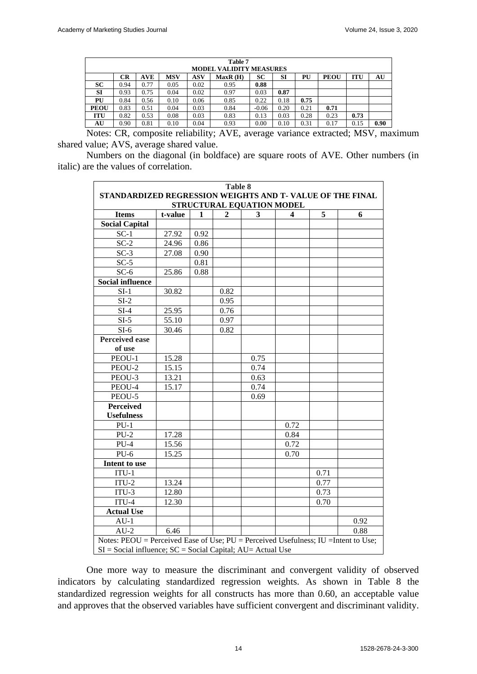|             | Table 7<br><b>MODEL VALIDITY MEASURES</b> |            |            |            |         |         |      |      |             |            |      |
|-------------|-------------------------------------------|------------|------------|------------|---------|---------|------|------|-------------|------------|------|
|             | CR                                        | <b>AVE</b> | <b>MSV</b> | <b>ASV</b> | MaxR(H) | SC      | SI   | PU   | <b>PEOU</b> | <b>ITU</b> | AU   |
| <b>SC</b>   | 0.94                                      | 0.77       | 0.05       | 0.02       | 0.95    | 0.88    |      |      |             |            |      |
| <b>SI</b>   | 0.93                                      | 0.75       | 0.04       | 0.02       | 0.97    | 0.03    | 0.87 |      |             |            |      |
| PU          | 0.84                                      | 0.56       | 0.10       | 0.06       | 0.85    | 0.22    | 0.18 | 0.75 |             |            |      |
| <b>PEOU</b> | 0.83                                      | 0.51       | 0.04       | 0.03       | 0.84    | $-0.06$ | 0.20 | 0.21 | 0.71        |            |      |
| <b>ITU</b>  | 0.82                                      | 0.53       | 0.08       | 0.03       | 0.83    | 0.13    | 0.03 | 0.28 | 0.23        | 0.73       |      |
| AU          | 0.90                                      | 0.81       | 0.10       | 0.04       | 0.93    | 0.00    | 0.10 | 0.31 | 0.17        | 0.15       | 0.90 |

Notes: CR, composite reliability; AVE, average variance extracted; MSV, maximum shared value; AVS, average shared value.

Numbers on the diagonal (in boldface) are square roots of AVE. Other numbers (in italic) are the values of correlation.

| <b>Table 8</b>                                                                         |                                                          |      |      |      |      |      |      |
|----------------------------------------------------------------------------------------|----------------------------------------------------------|------|------|------|------|------|------|
| STANDARDIZED REGRESSION WEIGHTS AND T- VALUE OF THE FINAL<br>STRUCTURAL EQUATION MODEL |                                                          |      |      |      |      |      |      |
| <b>Items</b>                                                                           | 5<br>$\overline{2}$<br>3<br>t-value<br>$\mathbf{1}$<br>4 |      |      |      |      |      | 6    |
| <b>Social Capital</b>                                                                  |                                                          |      |      |      |      |      |      |
| $SC-1$                                                                                 | 27.92                                                    | 0.92 |      |      |      |      |      |
| $SC-2$                                                                                 | 24.96                                                    | 0.86 |      |      |      |      |      |
| $SC-3$                                                                                 | 27.08                                                    | 0.90 |      |      |      |      |      |
| $SC-5$                                                                                 |                                                          | 0.81 |      |      |      |      |      |
| $SC-6$                                                                                 | 25.86                                                    | 0.88 |      |      |      |      |      |
| <b>Social influence</b>                                                                |                                                          |      |      |      |      |      |      |
| $SI-1$                                                                                 | 30.82                                                    |      | 0.82 |      |      |      |      |
| $SI-2$                                                                                 |                                                          |      | 0.95 |      |      |      |      |
| $SI-4$                                                                                 | 25.95                                                    |      | 0.76 |      |      |      |      |
| $SI-5$                                                                                 | 55.10                                                    |      | 0.97 |      |      |      |      |
| $SI-6$                                                                                 | 30.46                                                    |      | 0.82 |      |      |      |      |
| <b>Perceived ease</b>                                                                  |                                                          |      |      |      |      |      |      |
| of use                                                                                 |                                                          |      |      |      |      |      |      |
| PEOU-1                                                                                 | 15.28                                                    |      |      | 0.75 |      |      |      |
| PEOU-2                                                                                 | 15.15                                                    |      |      | 0.74 |      |      |      |
| PEOU-3                                                                                 | 13.21                                                    |      |      | 0.63 |      |      |      |
| PEOU-4                                                                                 | 15.17                                                    |      |      | 0.74 |      |      |      |
| PEOU-5                                                                                 |                                                          |      |      | 0.69 |      |      |      |
| <b>Perceived</b>                                                                       |                                                          |      |      |      |      |      |      |
| <b>Usefulness</b>                                                                      |                                                          |      |      |      |      |      |      |
| $PU-1$                                                                                 |                                                          |      |      |      | 0.72 |      |      |
| $PU-2$                                                                                 | 17.28                                                    |      |      |      | 0.84 |      |      |
| $PU-4$                                                                                 | 15.56                                                    |      |      |      | 0.72 |      |      |
| $PU-6$                                                                                 | 15.25                                                    |      |      |      | 0.70 |      |      |
| Intent to use                                                                          |                                                          |      |      |      |      |      |      |
| $ITU-1$                                                                                |                                                          |      |      |      |      | 0.71 |      |
| $ITU-2$                                                                                | 13.24                                                    |      |      |      |      | 0.77 |      |
| $ITU-3$                                                                                | 12.80                                                    |      |      |      |      | 0.73 |      |
| $ITU-4$                                                                                | 12.30                                                    |      |      |      |      | 0.70 |      |
| <b>Actual Use</b>                                                                      |                                                          |      |      |      |      |      |      |
| $AU-1$                                                                                 |                                                          |      |      |      |      |      | 0.92 |
| $AU-2$                                                                                 | 6.46                                                     |      |      |      |      |      | 0.88 |
| Notes: PEOU = Perceived Ease of Use; PU = Perceived Usefulness; IU = Intent to Use;    |                                                          |      |      |      |      |      |      |
| $SI = Social influence$ ; $SC = Social Capital$ ; $AU = Actual$ Use                    |                                                          |      |      |      |      |      |      |

One more way to measure the discriminant and convergent validity of observed indicators by calculating standardized regression weights. As shown in Table 8 the standardized regression weights for all constructs has more than 0.60, an acceptable value and approves that the observed variables have sufficient convergent and discriminant validity.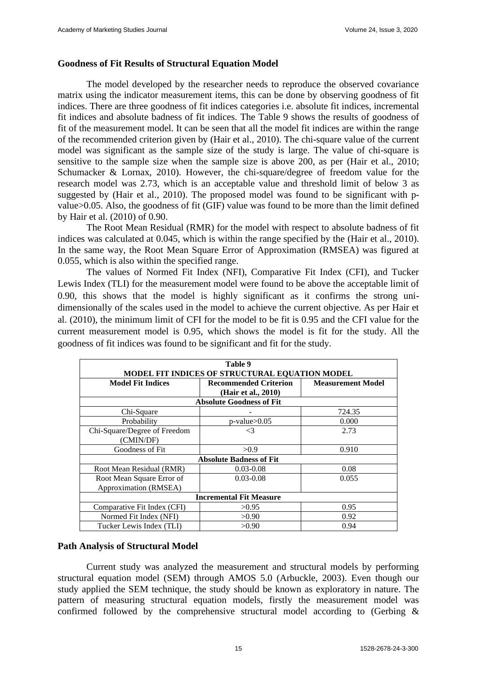## **Goodness of Fit Results of Structural Equation Model**

The model developed by the researcher needs to reproduce the observed covariance matrix using the indicator measurement items, this can be done by observing goodness of fit indices. There are three goodness of fit indices categories i.e. absolute fit indices, incremental fit indices and absolute badness of fit indices. The Table 9 shows the results of goodness of fit of the measurement model. It can be seen that all the model fit indices are within the range of the recommended criterion given by (Hair et al., 2010). The chi-square value of the current model was significant as the sample size of the study is large. The value of chi-square is sensitive to the sample size when the sample size is above 200, as per (Hair et al., 2010; Schumacker & Lornax, 2010). However, the chi-square/degree of freedom value for the research model was 2.73, which is an acceptable value and threshold limit of below 3 as suggested by (Hair et al., 2010). The proposed model was found to be significant with pvalue>0.05. Also, the goodness of fit (GIF) value was found to be more than the limit defined by Hair et al. (2010) of 0.90.

The Root Mean Residual (RMR) for the model with respect to absolute badness of fit indices was calculated at 0.045, which is within the range specified by the (Hair et al., 2010). In the same way, the Root Mean Square Error of Approximation (RMSEA) was figured at 0.055, which is also within the specified range.

The values of Normed Fit Index (NFI), Comparative Fit Index (CFI), and Tucker Lewis Index (TLI) for the measurement model were found to be above the acceptable limit of 0.90, this shows that the model is highly significant as it confirms the strong unidimensionally of the scales used in the model to achieve the current objective. As per Hair et al. (2010), the minimum limit of CFI for the model to be fit is 0.95 and the CFI value for the current measurement model is 0.95, which shows the model is fit for the study. All the goodness of fit indices was found to be significant and fit for the study.

| Table 9<br>MODEL FIT INDICES OF STRUCTURAL EQUATION MODEL |                                                        |        |  |  |  |  |  |
|-----------------------------------------------------------|--------------------------------------------------------|--------|--|--|--|--|--|
| <b>Model Fit Indices</b>                                  | <b>Measurement Model</b>                               |        |  |  |  |  |  |
|                                                           | (Hair et al., 2010)<br><b>Absolute Goodness of Fit</b> |        |  |  |  |  |  |
| Chi-Square                                                |                                                        | 724.35 |  |  |  |  |  |
| Probability                                               | $p$ -value $>0.05$                                     | 0.000  |  |  |  |  |  |
| Chi-Square/Degree of Freedom<br>(CMIN/DF)                 | $\leq$ 3                                               | 2.73   |  |  |  |  |  |
| Goodness of Fit                                           | >0.9                                                   | 0.910  |  |  |  |  |  |
|                                                           | <b>Absolute Badness of Fit</b>                         |        |  |  |  |  |  |
| Root Mean Residual (RMR)                                  | $0.03 - 0.08$                                          | 0.08   |  |  |  |  |  |
| Root Mean Square Error of<br>Approximation (RMSEA)        | $0.03 - 0.08$                                          | 0.055  |  |  |  |  |  |
|                                                           | <b>Incremental Fit Measure</b>                         |        |  |  |  |  |  |
| Comparative Fit Index (CFI)                               | >0.95                                                  | 0.95   |  |  |  |  |  |
| Normed Fit Index (NFI)                                    | >0.90                                                  | 0.92   |  |  |  |  |  |
| Tucker Lewis Index (TLI)                                  | >0.90                                                  | 0.94   |  |  |  |  |  |

## **Path Analysis of Structural Model**

Current study was analyzed the measurement and structural models by performing structural equation model (SEM) through AMOS 5.0 (Arbuckle, 2003). Even though our study applied the SEM technique, the study should be known as exploratory in nature. The pattern of measuring structural equation models, firstly the measurement model was confirmed followed by the comprehensive structural model according to (Gerbing &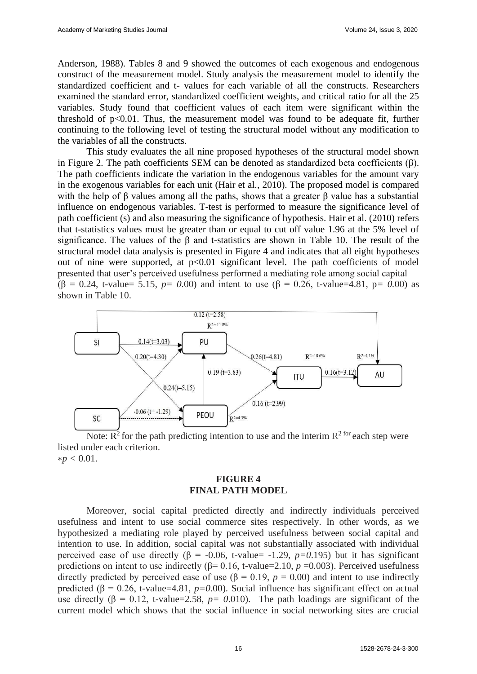Anderson, 1988). Tables 8 and 9 showed the outcomes of each exogenous and endogenous construct of the measurement model. Study analysis the measurement model to identify the standardized coefficient and t- values for each variable of all the constructs. Researchers examined the standard error, standardized coefficient weights, and critical ratio for all the 25 variables. Study found that coefficient values of each item were significant within the threshold of  $p<0.01$ . Thus, the measurement model was found to be adequate fit, further continuing to the following level of testing the structural model without any modification to the variables of all the constructs.

This study evaluates the all nine proposed hypotheses of the structural model shown in Figure 2. The path coefficients SEM can be denoted as standardized beta coefficients (β). The path coefficients indicate the variation in the endogenous variables for the amount vary in the exogenous variables for each unit (Hair et al., 2010). The proposed model is compared with the help of  $\beta$  values among all the paths, shows that a greater  $\beta$  value has a substantial influence on endogenous variables. T-test is performed to measure the significance level of path coefficient (s) and also measuring the significance of hypothesis. Hair et al. (2010) refers that t-statistics values must be greater than or equal to cut off value 1.96 at the 5% level of significance. The values of the β and t-statistics are shown in Table 10. The result of the structural model data analysis is presented in Figure 4 and indicates that all eight hypotheses out of nine were supported, at  $p<0.01$  significant level. The path coefficients of model presented that user's perceived usefulness performed a mediating role among social capital (β = 0.24, t-value= 5.15, *p= 0*.00) and intent to use (β = 0.26, t-value=4.81, p*= 0.*00) as shown in Table 10.



Note:  $\mathbb{R}^2$  for the path predicting intention to use and the interim  $\mathbb{R}^2$  for each step were listed under each criterion.  $*p < 0.01$ .

#### **FIGURE 4 FINAL PATH MODEL**

Moreover, social capital predicted directly and indirectly individuals perceived usefulness and intent to use social commerce sites respectively. In other words, as we hypothesized a mediating role played by perceived usefulness between social capital and intention to use. In addition, social capital was not substantially associated with individual perceived ease of use directly ( $\beta$  = -0.06, t-value= -1.29, *p*=0.195) but it has significant predictions on intent to use indirectly ( $\beta$ = 0.16, t-value=2.10, *p* = 0.003). Perceived usefulness directly predicted by perceived ease of use ( $\beta = 0.19$ ,  $p = 0.00$ ) and intent to use indirectly predicted ( $\beta$  = 0.26, t-value=4.81, *p*=0.00). Social influence has significant effect on actual use directly ( $\beta = 0.12$ , t-value=2.58,  $p = 0.010$ ). The path loadings are significant of the current model which shows that the social influence in social networking sites are crucial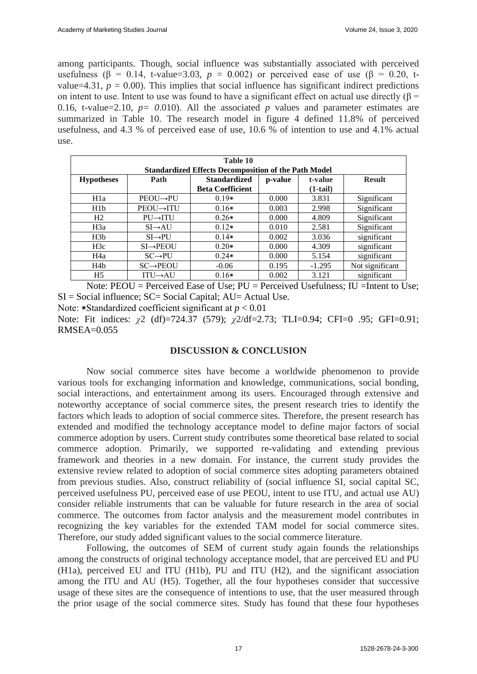among participants. Though, social influence was substantially associated with perceived usefulness ( $\beta$  = 0.14, t-value=3.03,  $p = 0.002$ ) or perceived ease of use ( $\beta$  = 0.20, tvalue=4.31,  $p = 0.00$ ). This implies that social influence has significant indirect predictions on intent to use. Intent to use was found to have a significant effect on actual use directly ( $\beta$  = 0.16, t-value=2.10,  $p = 0.010$ ). All the associated p values and parameter estimates are summarized in Table 10. The research model in figure 4 defined 11.8% of perceived usefulness, and 4.3 % of perceived ease of use, 10.6 % of intention to use and 4.1% actual use.

| Table 10                                                    |                       |                         |         |            |                 |
|-------------------------------------------------------------|-----------------------|-------------------------|---------|------------|-----------------|
| <b>Standardized Effects Decomposition of the Path Model</b> |                       |                         |         |            |                 |
| <b>Hypotheses</b>                                           | Path                  | <b>Standardized</b>     | p-value | t-value    | <b>Result</b>   |
|                                                             |                       | <b>Beta Coefficient</b> |         | $(1-tail)$ |                 |
| H <sub>1</sub> a                                            | $PEOU \rightarrow PU$ | $0.19*$                 | 0.000   | 3.831      | Significant     |
| H1b                                                         | PEOU→ITU              | $0.16*$                 | 0.003   | 2.998      | Significant     |
| H2                                                          | $PU \rightarrow ITU$  | $0.26*$                 | 0.000   | 4.809      | Significant     |
| H3a                                                         | $SI \rightarrow AU$   | $0.12*$                 | 0.010   | 2.581      | Significant     |
| H3b                                                         | $SI \rightarrow PU$   | $0.14*$                 | 0.002   | 3.036      | significant     |
| H3c                                                         | $SI \rightarrow PEOU$ | $0.20*$                 | 0.000   | 4.309      | significant     |
| H <sub>4</sub> a                                            | $SC \rightarrow PU$   | $0.24*$                 | 0.000   | 5.154      | significant     |
| H4b                                                         | $SC \rightarrow PEOU$ | $-0.06$                 | 0.195   | $-1.295$   | Not significant |
| H <sub>5</sub>                                              | $ITU \rightarrow AU$  | $0.16*$                 | 0.002   | 3.121      | significant     |

Note:  $PEOU = Perceived$  Ease of Use;  $PU = Perceived$  Usefulness; IU = Intent to Use; SI = Social influence; SC= Social Capital; AU= Actual Use. Note: \*Standardized coefficient significant at  $p < 0.01$ 

Note: Fit indices: *χ*2 (df)=724.37 (579); *χ*2/df=2.73; TLI=0.94; CFI=0 .95; GFI=0.91;  $RMSEA=0.055$ 

## **DISCUSSION & CONCLUSION**

Now social commerce sites have become a worldwide phenomenon to provide various tools for exchanging information and knowledge, communications, social bonding, social interactions, and entertainment among its users. Encouraged through extensive and noteworthy acceptance of social commerce sites, the present research tries to identify the factors which leads to adoption of social commerce sites. Therefore, the present research has extended and modified the technology acceptance model to define major factors of social commerce adoption by users. Current study contributes some theoretical base related to social commerce adoption. Primarily, we supported re-validating and extending previous framework and theories in a new domain. For instance, the current study provides the extensive review related to adoption of social commerce sites adopting parameters obtained from previous studies. Also, construct reliability of (social influence SI, social capital SC, perceived usefulness PU, perceived ease of use PEOU, intent to use ITU, and actual use AU) consider reliable instruments that can be valuable for future research in the area of social commerce. The outcomes from factor analysis and the measurement model contributes in recognizing the key variables for the extended TAM model for social commerce sites. Therefore, our study added significant values to the social commerce literature.

Following, the outcomes of SEM of current study again founds the relationships among the constructs of original technology acceptance model, that are perceived EU and PU (H1a), perceived EU and ITU (H1b), PU and ITU (H2), and the significant association among the ITU and AU (H5). Together, all the four hypotheses consider that successive usage of these sites are the consequence of intentions to use, that the user measured through the prior usage of the social commerce sites. Study has found that these four hypotheses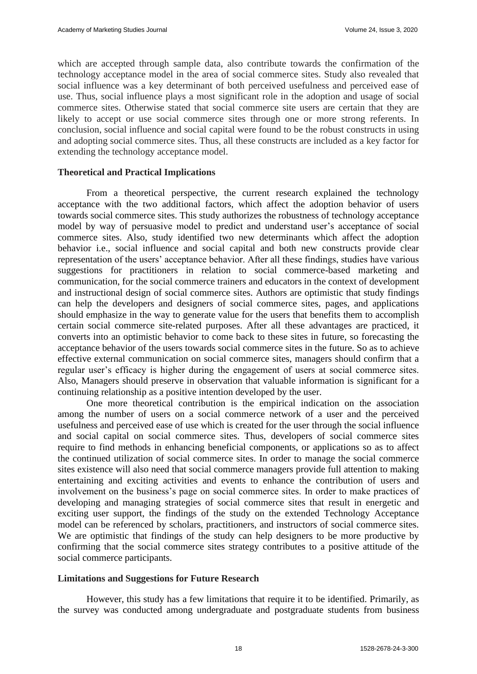which are accepted through sample data, also contribute towards the confirmation of the technology acceptance model in the area of social commerce sites. Study also revealed that social influence was a key determinant of both perceived usefulness and perceived ease of use. Thus, social influence plays a most significant role in the adoption and usage of social commerce sites. Otherwise stated that social commerce site users are certain that they are likely to accept or use social commerce sites through one or more strong referents. In conclusion, social influence and social capital were found to be the robust constructs in using and adopting social commerce sites. Thus, all these constructs are included as a key factor for extending the technology acceptance model.

## **Theoretical and Practical Implications**

From a theoretical perspective, the current research explained the technology acceptance with the two additional factors, which affect the adoption behavior of users towards social commerce sites. This study authorizes the robustness of technology acceptance model by way of persuasive model to predict and understand user's acceptance of social commerce sites. Also, study identified two new determinants which affect the adoption behavior i.e., social influence and social capital and both new constructs provide clear representation of the users' acceptance behavior. After all these findings, studies have various suggestions for practitioners in relation to social commerce-based marketing and communication, for the social commerce trainers and educators in the context of development and instructional design of social commerce sites. Authors are optimistic that study findings can help the developers and designers of social commerce sites, pages, and applications should emphasize in the way to generate value for the users that benefits them to accomplish certain social commerce site-related purposes. After all these advantages are practiced, it converts into an optimistic behavior to come back to these sites in future, so forecasting the acceptance behavior of the users towards social commerce sites in the future. So as to achieve effective external communication on social commerce sites, managers should confirm that a regular user's efficacy is higher during the engagement of users at social commerce sites. Also, Managers should preserve in observation that valuable information is significant for a continuing relationship as a positive intention developed by the user.

One more theoretical contribution is the empirical indication on the association among the number of users on a social commerce network of a user and the perceived usefulness and perceived ease of use which is created for the user through the social influence and social capital on social commerce sites. Thus, developers of social commerce sites require to find methods in enhancing beneficial components, or applications so as to affect the continued utilization of social commerce sites. In order to manage the social commerce sites existence will also need that social commerce managers provide full attention to making entertaining and exciting activities and events to enhance the contribution of users and involvement on the business's page on social commerce sites. In order to make practices of developing and managing strategies of social commerce sites that result in energetic and exciting user support, the findings of the study on the extended Technology Acceptance model can be referenced by scholars, practitioners, and instructors of social commerce sites. We are optimistic that findings of the study can help designers to be more productive by confirming that the social commerce sites strategy contributes to a positive attitude of the social commerce participants.

## **Limitations and Suggestions for Future Research**

However, this study has a few limitations that require it to be identified. Primarily, as the survey was conducted among undergraduate and postgraduate students from business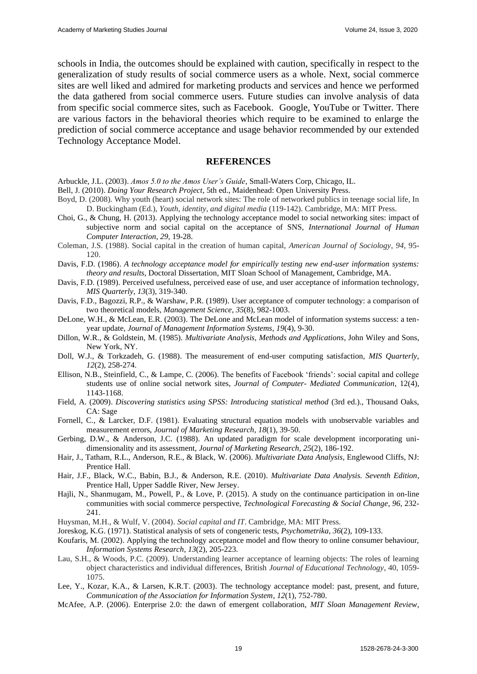schools in India, the outcomes should be explained with caution, specifically in respect to the generalization of study results of social commerce users as a whole. Next, social commerce sites are well liked and admired for marketing products and services and hence we performed the data gathered from social commerce users. Future studies can involve analysis of data from specific social commerce sites, such as Facebook. Google, YouTube or Twitter. There are various factors in the behavioral theories which require to be examined to enlarge the prediction of social commerce acceptance and usage behavior recommended by our extended Technology Acceptance Model.

#### **REFERENCES**

- Arbuckle, J.L. (2003). *Amos 5.0 to the Amos User's Guide*, Small-Waters Corp, Chicago, IL.
- Bell, J. (2010). *Doing Your Research Project*, 5th ed., Maidenhead: Open University Press.
- Boyd, D. (2008). Why youth (heart) social network sites: The role of networked publics in teenage social life, In D. Buckingham (Ed.), *Youth, identity, and digital media* (119-142). Cambridge, MA: MIT Press.
- Choi, G., & Chung, H. (2013). Applying the technology acceptance model to social networking sites: impact of subjective norm and social capital on the acceptance of SNS, *International Journal of Human Computer Interaction*, *29,* 19-28.
- Coleman, J.S. (1988). Social capital in the creation of human capital, *American Journal of Sociology*, *94*, 95- 120.
- Davis, F.D. (1986). *A technology acceptance model for empirically testing new end-user information systems: theory and results*, Doctoral Dissertation, MIT Sloan School of Management, Cambridge, MA.
- Davis, F.D. (1989). Perceived usefulness, perceived ease of use, and user acceptance of information technology, *MIS Quarterly*, *13*(3), 319-340.
- Davis, F.D., Bagozzi, R.P., & Warshaw, P.R. (1989). User acceptance of computer technology: a comparison of two theoretical models, *Management Science*, *35*(8), 982-1003.
- DeLone, W.H., & McLean, E.R. (2003). The DeLone and McLean model of information systems success: a tenyear update, *Journal of Management Information Systems*, *19*(4), 9-30.
- Dillon, W.R., & Goldstein, M. (1985). *Multivariate Analysis, Methods and Applications*, John Wiley and Sons, New York, NY.
- Doll, W.J., & Torkzadeh, G. (1988). The measurement of end-user computing satisfaction, *MIS Quarterly*, *12*(2), 258-274.
- Ellison, N.B., Steinfield, C., & Lampe, C. (2006). The benefits of Facebook 'friends': social capital and college students use of online social network sites, *Journal of Computer- Mediated Communication*, 12(4), 1143-1168.
- Field, A. (2009). *Discovering statistics using SPSS: Introducing statistical method* (3rd ed.)., Thousand Oaks, CA: Sage
- Fornell, C., & Larcker, D.F. (1981). Evaluating structural equation models with unobservable variables and measurement errors, *Journal of Marketing Research*, *18*(1), 39-50.
- Gerbing, D.W., & Anderson, J.C. (1988). An updated paradigm for scale development incorporating unidimensionality and its assessment, *Journal of Marketing Research*, *25*(2), 186-192.
- Hair, J., Tatham, R.L., Anderson, R.E., & Black, W. (2006). *Multivariate Data Analysis*, Englewood Cliffs, NJ: Prentice Hall.
- Hair, J.F., Black, W.C., Babin, B.J., & Anderson, R.E. (2010). *Multivariate Data Analysis. Seventh Edition*, Prentice Hall, Upper Saddle River, New Jersey.
- Hajli, N., Shanmugam, M., Powell, P., & Love, P. (2015). A study on the continuance participation in on-line communities with social commerce perspective, *Technological Forecasting & Social Change*, *96*, 232- 241.
- Huysman, M.H., & Wulf, V. (2004). *Social capital and IT*. Cambridge, MA: MIT Press.
- Joreskog, K.G. (1971). Statistical analysis of sets of congeneric tests, *Psychometrika*, *36*(2), 109-133.
- Koufaris, M. (2002). Applying the technology acceptance model and flow theory to online consumer behaviour, *Information Systems Research*, *13*(2), 205-223.
- Lau, S.H., & Woods, P.C. (2009). Understanding learner acceptance of learning objects: The roles of learning object characteristics and individual differences, British *Journal of Educational Technology*, 40, 1059- 1075.
- Lee, Y., Kozar, K.A., & Larsen, K.R.T. (2003). The technology acceptance model: past, present, and future, *Communication of the Association for Information System*, *12*(1), 752-780.
- McAfee, A.P. (2006). Enterprise 2.0: the dawn of emergent collaboration, *MIT Sloan Management Review*,